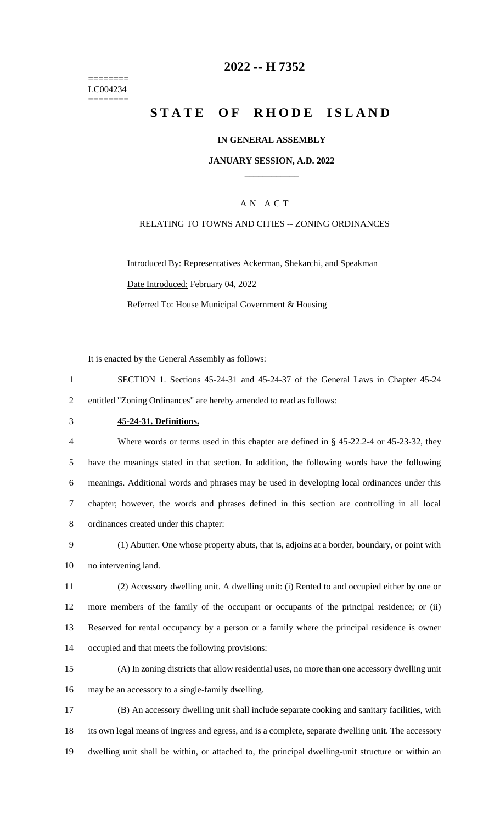======== LC004234 ========

### **-- H 7352**

# **STATE OF RHODE ISLAND**

#### **IN GENERAL ASSEMBLY**

#### **JANUARY SESSION, A.D. 2022 \_\_\_\_\_\_\_\_\_\_\_\_**

#### A N A C T

#### RELATING TO TOWNS AND CITIES -- ZONING ORDINANCES

Introduced By: Representatives Ackerman, Shekarchi, and Speakman Date Introduced: February 04, 2022 Referred To: House Municipal Government & Housing

It is enacted by the General Assembly as follows:

- SECTION 1. Sections 45-24-31 and 45-24-37 of the General Laws in Chapter 45-24 entitled "Zoning Ordinances" are hereby amended to read as follows:
- 

#### **45-24-31. Definitions.**

 Where words or terms used in this chapter are defined in § 45-22.2-4 or 45-23-32, they have the meanings stated in that section. In addition, the following words have the following meanings. Additional words and phrases may be used in developing local ordinances under this chapter; however, the words and phrases defined in this section are controlling in all local ordinances created under this chapter:

 (1) Abutter. One whose property abuts, that is, adjoins at a border, boundary, or point with no intervening land.

 (2) Accessory dwelling unit. A dwelling unit: (i) Rented to and occupied either by one or more members of the family of the occupant or occupants of the principal residence; or (ii) Reserved for rental occupancy by a person or a family where the principal residence is owner occupied and that meets the following provisions:

 (A) In zoning districts that allow residential uses, no more than one accessory dwelling unit may be an accessory to a single-family dwelling.

 (B) An accessory dwelling unit shall include separate cooking and sanitary facilities, with its own legal means of ingress and egress, and is a complete, separate dwelling unit. The accessory dwelling unit shall be within, or attached to, the principal dwelling-unit structure or within an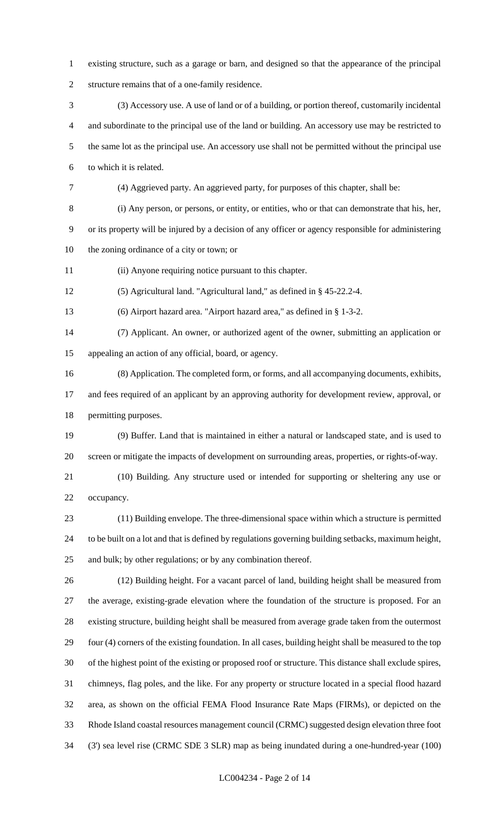- existing structure, such as a garage or barn, and designed so that the appearance of the principal structure remains that of a one-family residence.
- (3) Accessory use. A use of land or of a building, or portion thereof, customarily incidental and subordinate to the principal use of the land or building. An accessory use may be restricted to the same lot as the principal use. An accessory use shall not be permitted without the principal use to which it is related.
- (4) Aggrieved party. An aggrieved party, for purposes of this chapter, shall be:

(i) Any person, or persons, or entity, or entities, who or that can demonstrate that his, her,

 or its property will be injured by a decision of any officer or agency responsible for administering the zoning ordinance of a city or town; or

(ii) Anyone requiring notice pursuant to this chapter.

(5) Agricultural land. "Agricultural land," as defined in § 45-22.2-4.

(6) Airport hazard area. "Airport hazard area," as defined in § 1-3-2.

 (7) Applicant. An owner, or authorized agent of the owner, submitting an application or appealing an action of any official, board, or agency.

(8) Application. The completed form, or forms, and all accompanying documents, exhibits,

 and fees required of an applicant by an approving authority for development review, approval, or permitting purposes.

 (9) Buffer. Land that is maintained in either a natural or landscaped state, and is used to screen or mitigate the impacts of development on surrounding areas, properties, or rights-of-way.

 (10) Building. Any structure used or intended for supporting or sheltering any use or occupancy.

 (11) Building envelope. The three-dimensional space within which a structure is permitted to be built on a lot and that is defined by regulations governing building setbacks, maximum height, and bulk; by other regulations; or by any combination thereof.

 (12) Building height. For a vacant parcel of land, building height shall be measured from the average, existing-grade elevation where the foundation of the structure is proposed. For an existing structure, building height shall be measured from average grade taken from the outermost four (4) corners of the existing foundation. In all cases, building height shall be measured to the top of the highest point of the existing or proposed roof or structure. This distance shall exclude spires, chimneys, flag poles, and the like. For any property or structure located in a special flood hazard area, as shown on the official FEMA Flood Insurance Rate Maps (FIRMs), or depicted on the Rhode Island coastal resources management council (CRMC) suggested design elevation three foot (3') sea level rise (CRMC SDE 3 SLR) map as being inundated during a one-hundred-year (100)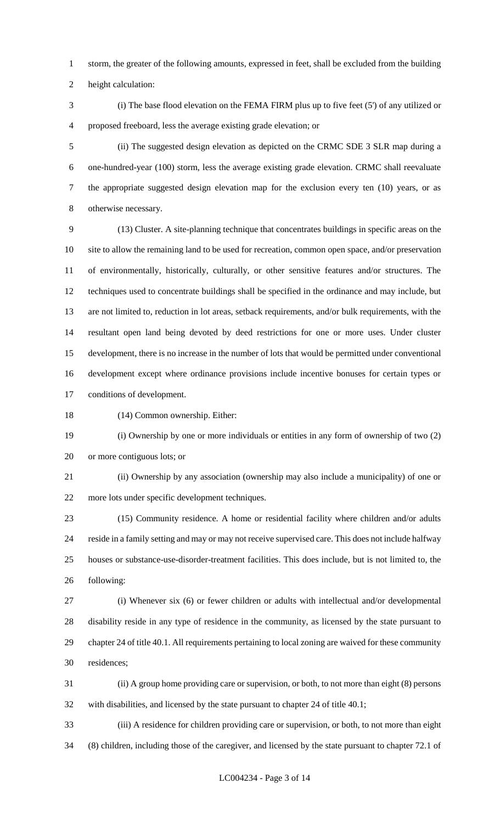storm, the greater of the following amounts, expressed in feet, shall be excluded from the building

height calculation:

 (i) The base flood elevation on the FEMA FIRM plus up to five feet (5') of any utilized or proposed freeboard, less the average existing grade elevation; or

 (ii) The suggested design elevation as depicted on the CRMC SDE 3 SLR map during a one-hundred-year (100) storm, less the average existing grade elevation. CRMC shall reevaluate the appropriate suggested design elevation map for the exclusion every ten (10) years, or as otherwise necessary.

 (13) Cluster. A site-planning technique that concentrates buildings in specific areas on the site to allow the remaining land to be used for recreation, common open space, and/or preservation of environmentally, historically, culturally, or other sensitive features and/or structures. The techniques used to concentrate buildings shall be specified in the ordinance and may include, but are not limited to, reduction in lot areas, setback requirements, and/or bulk requirements, with the resultant open land being devoted by deed restrictions for one or more uses. Under cluster development, there is no increase in the number of lots that would be permitted under conventional development except where ordinance provisions include incentive bonuses for certain types or conditions of development.

(14) Common ownership. Either:

 (i) Ownership by one or more individuals or entities in any form of ownership of two (2) or more contiguous lots; or

 (ii) Ownership by any association (ownership may also include a municipality) of one or more lots under specific development techniques.

 (15) Community residence. A home or residential facility where children and/or adults reside in a family setting and may or may not receive supervised care. This does not include halfway houses or substance-use-disorder-treatment facilities. This does include, but is not limited to, the following:

 (i) Whenever six (6) or fewer children or adults with intellectual and/or developmental disability reside in any type of residence in the community, as licensed by the state pursuant to chapter 24 of title 40.1. All requirements pertaining to local zoning are waived for these community residences;

 (ii) A group home providing care or supervision, or both, to not more than eight (8) persons with disabilities, and licensed by the state pursuant to chapter 24 of title 40.1;

 (iii) A residence for children providing care or supervision, or both, to not more than eight (8) children, including those of the caregiver, and licensed by the state pursuant to chapter 72.1 of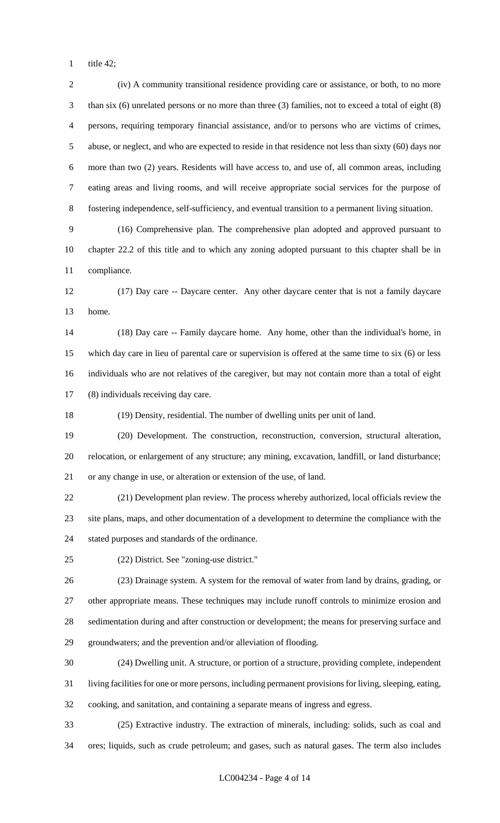title 42;

 (iv) A community transitional residence providing care or assistance, or both, to no more than six (6) unrelated persons or no more than three (3) families, not to exceed a total of eight (8) persons, requiring temporary financial assistance, and/or to persons who are victims of crimes, abuse, or neglect, and who are expected to reside in that residence not less than sixty (60) days nor more than two (2) years. Residents will have access to, and use of, all common areas, including eating areas and living rooms, and will receive appropriate social services for the purpose of fostering independence, self-sufficiency, and eventual transition to a permanent living situation. (16) Comprehensive plan. The comprehensive plan adopted and approved pursuant to chapter 22.2 of this title and to which any zoning adopted pursuant to this chapter shall be in compliance. (17) Day care -- Daycare center. Any other daycare center that is not a family daycare home. (18) Day care -- Family daycare home. Any home, other than the individual's home, in which day care in lieu of parental care or supervision is offered at the same time to six (6) or less individuals who are not relatives of the caregiver, but may not contain more than a total of eight (8) individuals receiving day care. (19) Density, residential. The number of dwelling units per unit of land. (20) Development. The construction, reconstruction, conversion, structural alteration, relocation, or enlargement of any structure; any mining, excavation, landfill, or land disturbance; or any change in use, or alteration or extension of the use, of land. (21) Development plan review. The process whereby authorized, local officials review the site plans, maps, and other documentation of a development to determine the compliance with the stated purposes and standards of the ordinance. (22) District. See "zoning-use district." (23) Drainage system. A system for the removal of water from land by drains, grading, or other appropriate means. These techniques may include runoff controls to minimize erosion and sedimentation during and after construction or development; the means for preserving surface and groundwaters; and the prevention and/or alleviation of flooding. (24) Dwelling unit. A structure, or portion of a structure, providing complete, independent living facilities for one or more persons, including permanent provisions for living, sleeping, eating, cooking, and sanitation, and containing a separate means of ingress and egress. (25) Extractive industry. The extraction of minerals, including: solids, such as coal and ores; liquids, such as crude petroleum; and gases, such as natural gases. The term also includes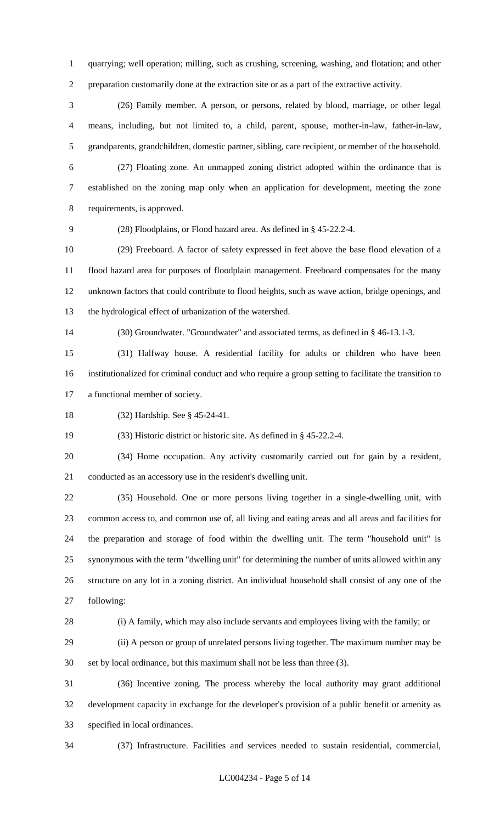quarrying; well operation; milling, such as crushing, screening, washing, and flotation; and other preparation customarily done at the extraction site or as a part of the extractive activity.

 (26) Family member. A person, or persons, related by blood, marriage, or other legal means, including, but not limited to, a child, parent, spouse, mother-in-law, father-in-law, grandparents, grandchildren, domestic partner, sibling, care recipient, or member of the household.

 (27) Floating zone. An unmapped zoning district adopted within the ordinance that is established on the zoning map only when an application for development, meeting the zone requirements, is approved.

(28) Floodplains, or Flood hazard area. As defined in § 45-22.2-4.

 (29) Freeboard. A factor of safety expressed in feet above the base flood elevation of a flood hazard area for purposes of floodplain management. Freeboard compensates for the many unknown factors that could contribute to flood heights, such as wave action, bridge openings, and the hydrological effect of urbanization of the watershed.

(30) Groundwater. "Groundwater" and associated terms, as defined in § 46-13.1-3.

 (31) Halfway house. A residential facility for adults or children who have been institutionalized for criminal conduct and who require a group setting to facilitate the transition to a functional member of society.

(32) Hardship. See § 45-24-41.

(33) Historic district or historic site. As defined in § 45-22.2-4.

 (34) Home occupation. Any activity customarily carried out for gain by a resident, conducted as an accessory use in the resident's dwelling unit.

 (35) Household. One or more persons living together in a single-dwelling unit, with common access to, and common use of, all living and eating areas and all areas and facilities for the preparation and storage of food within the dwelling unit. The term "household unit" is synonymous with the term "dwelling unit" for determining the number of units allowed within any structure on any lot in a zoning district. An individual household shall consist of any one of the following:

(i) A family, which may also include servants and employees living with the family; or

 (ii) A person or group of unrelated persons living together. The maximum number may be set by local ordinance, but this maximum shall not be less than three (3).

 (36) Incentive zoning. The process whereby the local authority may grant additional development capacity in exchange for the developer's provision of a public benefit or amenity as specified in local ordinances.

(37) Infrastructure. Facilities and services needed to sustain residential, commercial,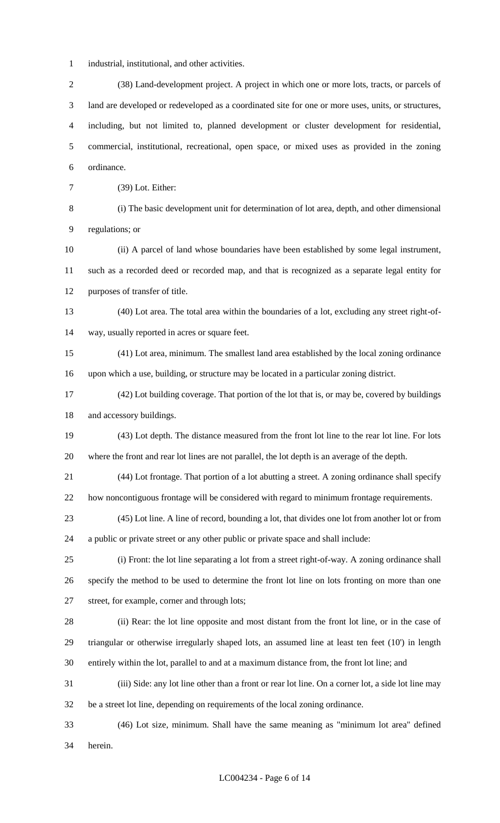- industrial, institutional, and other activities.
- (38) Land-development project. A project in which one or more lots, tracts, or parcels of land are developed or redeveloped as a coordinated site for one or more uses, units, or structures, including, but not limited to, planned development or cluster development for residential, commercial, institutional, recreational, open space, or mixed uses as provided in the zoning ordinance.
- (39) Lot. Either:

 (i) The basic development unit for determination of lot area, depth, and other dimensional regulations; or

 (ii) A parcel of land whose boundaries have been established by some legal instrument, such as a recorded deed or recorded map, and that is recognized as a separate legal entity for purposes of transfer of title.

- (40) Lot area. The total area within the boundaries of a lot, excluding any street right-of-way, usually reported in acres or square feet.
- (41) Lot area, minimum. The smallest land area established by the local zoning ordinance upon which a use, building, or structure may be located in a particular zoning district.
- (42) Lot building coverage. That portion of the lot that is, or may be, covered by buildings and accessory buildings.
- (43) Lot depth. The distance measured from the front lot line to the rear lot line. For lots where the front and rear lot lines are not parallel, the lot depth is an average of the depth.
- (44) Lot frontage. That portion of a lot abutting a street. A zoning ordinance shall specify how noncontiguous frontage will be considered with regard to minimum frontage requirements.
- (45) Lot line. A line of record, bounding a lot, that divides one lot from another lot or from a public or private street or any other public or private space and shall include:
- (i) Front: the lot line separating a lot from a street right-of-way. A zoning ordinance shall specify the method to be used to determine the front lot line on lots fronting on more than one street, for example, corner and through lots;
- (ii) Rear: the lot line opposite and most distant from the front lot line, or in the case of triangular or otherwise irregularly shaped lots, an assumed line at least ten feet (10') in length entirely within the lot, parallel to and at a maximum distance from, the front lot line; and
- (iii) Side: any lot line other than a front or rear lot line. On a corner lot, a side lot line may be a street lot line, depending on requirements of the local zoning ordinance.
- (46) Lot size, minimum. Shall have the same meaning as "minimum lot area" defined herein.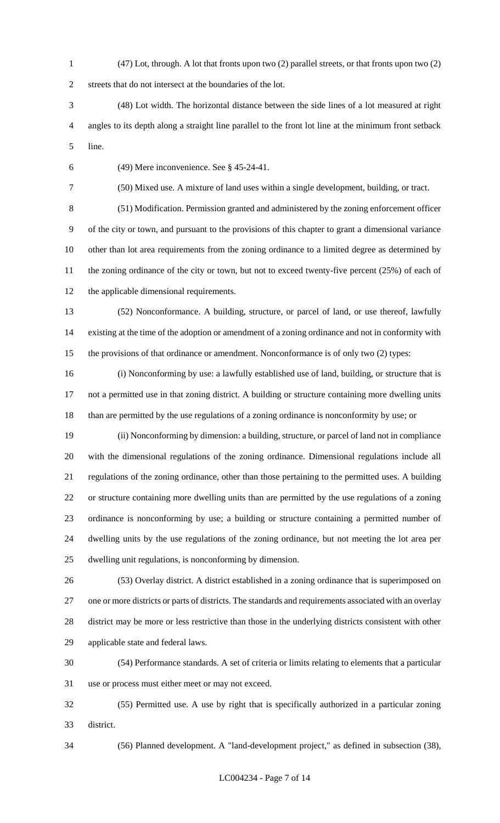(47) Lot, through. A lot that fronts upon two (2) parallel streets, or that fronts upon two (2)

streets that do not intersect at the boundaries of the lot.

- (48) Lot width. The horizontal distance between the side lines of a lot measured at right angles to its depth along a straight line parallel to the front lot line at the minimum front setback line.
- 

(49) Mere inconvenience. See § 45-24-41.

(50) Mixed use. A mixture of land uses within a single development, building, or tract.

 (51) Modification. Permission granted and administered by the zoning enforcement officer of the city or town, and pursuant to the provisions of this chapter to grant a dimensional variance other than lot area requirements from the zoning ordinance to a limited degree as determined by 11 the zoning ordinance of the city or town, but not to exceed twenty-five percent (25%) of each of the applicable dimensional requirements.

 (52) Nonconformance. A building, structure, or parcel of land, or use thereof, lawfully existing at the time of the adoption or amendment of a zoning ordinance and not in conformity with the provisions of that ordinance or amendment. Nonconformance is of only two (2) types:

 (i) Nonconforming by use: a lawfully established use of land, building, or structure that is not a permitted use in that zoning district. A building or structure containing more dwelling units than are permitted by the use regulations of a zoning ordinance is nonconformity by use; or

 (ii) Nonconforming by dimension: a building, structure, or parcel of land not in compliance with the dimensional regulations of the zoning ordinance. Dimensional regulations include all regulations of the zoning ordinance, other than those pertaining to the permitted uses. A building or structure containing more dwelling units than are permitted by the use regulations of a zoning ordinance is nonconforming by use; a building or structure containing a permitted number of dwelling units by the use regulations of the zoning ordinance, but not meeting the lot area per dwelling unit regulations, is nonconforming by dimension.

 (53) Overlay district. A district established in a zoning ordinance that is superimposed on one or more districts or parts of districts. The standards and requirements associated with an overlay district may be more or less restrictive than those in the underlying districts consistent with other applicable state and federal laws.

 (54) Performance standards. A set of criteria or limits relating to elements that a particular use or process must either meet or may not exceed.

 (55) Permitted use. A use by right that is specifically authorized in a particular zoning district.

(56) Planned development. A "land-development project," as defined in subsection (38),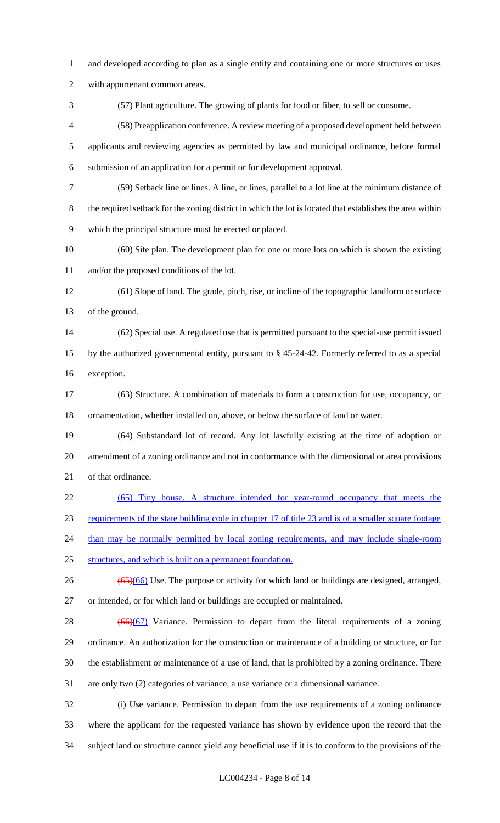- and developed according to plan as a single entity and containing one or more structures or uses
- with appurtenant common areas.
- (57) Plant agriculture. The growing of plants for food or fiber, to sell or consume.

 (58) Preapplication conference. A review meeting of a proposed development held between applicants and reviewing agencies as permitted by law and municipal ordinance, before formal submission of an application for a permit or for development approval.

- (59) Setback line or lines. A line, or lines, parallel to a lot line at the minimum distance of the required setback for the zoning district in which the lot is located that establishes the area within which the principal structure must be erected or placed.
- (60) Site plan. The development plan for one or more lots on which is shown the existing and/or the proposed conditions of the lot.
- (61) Slope of land. The grade, pitch, rise, or incline of the topographic landform or surface of the ground.
- (62) Special use. A regulated use that is permitted pursuant to the special-use permit issued by the authorized governmental entity, pursuant to § 45-24-42. Formerly referred to as a special exception.
- (63) Structure. A combination of materials to form a construction for use, occupancy, or ornamentation, whether installed on, above, or below the surface of land or water.
- (64) Substandard lot of record. Any lot lawfully existing at the time of adoption or amendment of a zoning ordinance and not in conformance with the dimensional or area provisions of that ordinance.
- (65) Tiny house. A structure intended for year-round occupancy that meets the

requirements of the state building code in chapter 17 of title 23 and is of a smaller square footage

- 24 than may be normally permitted by local zoning requirements, and may include single-room
- structures, and which is built on a permanent foundation.
- $26 \left( \frac{(65)(66)}{965} \right)$  Use. The purpose or activity for which land or buildings are designed, arranged, or intended, or for which land or buildings are occupied or maintained.
- 28  $(66)(67)$  Variance. Permission to depart from the literal requirements of a zoning ordinance. An authorization for the construction or maintenance of a building or structure, or for the establishment or maintenance of a use of land, that is prohibited by a zoning ordinance. There are only two (2) categories of variance, a use variance or a dimensional variance.
- (i) Use variance. Permission to depart from the use requirements of a zoning ordinance where the applicant for the requested variance has shown by evidence upon the record that the subject land or structure cannot yield any beneficial use if it is to conform to the provisions of the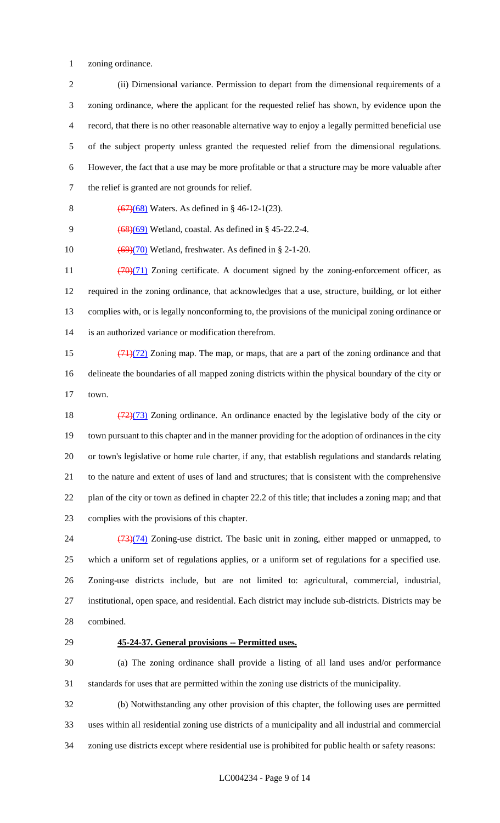zoning ordinance.

 (ii) Dimensional variance. Permission to depart from the dimensional requirements of a zoning ordinance, where the applicant for the requested relief has shown, by evidence upon the record, that there is no other reasonable alternative way to enjoy a legally permitted beneficial use of the subject property unless granted the requested relief from the dimensional regulations. However, the fact that a use may be more profitable or that a structure may be more valuable after the relief is granted are not grounds for relief.

8  $(67)(68)$  Waters. As defined in § 46-12-1(23).

9 (68)(69) Wetland, coastal. As defined in § 45-22.2-4.

10  $\left(\frac{69}{20}\right)$  Wetland, freshwater. As defined in § 2-1-20.

 $(70)(71)$  Zoning certificate. A document signed by the zoning-enforcement officer, as required in the zoning ordinance, that acknowledges that a use, structure, building, or lot either complies with, or is legally nonconforming to, the provisions of the municipal zoning ordinance or is an authorized variance or modification therefrom.

15  $\left(\frac{71}{72}\right)$  Zoning map. The map, or maps, that are a part of the zoning ordinance and that delineate the boundaries of all mapped zoning districts within the physical boundary of the city or town.

 $(72)(73)$  Zoning ordinance. An ordinance enacted by the legislative body of the city or town pursuant to this chapter and in the manner providing for the adoption of ordinances in the city or town's legislative or home rule charter, if any, that establish regulations and standards relating to the nature and extent of uses of land and structures; that is consistent with the comprehensive plan of the city or town as defined in chapter 22.2 of this title; that includes a zoning map; and that complies with the provisions of this chapter.

24 (73)(74) Zoning-use district. The basic unit in zoning, either mapped or unmapped, to which a uniform set of regulations applies, or a uniform set of regulations for a specified use. Zoning-use districts include, but are not limited to: agricultural, commercial, industrial, institutional, open space, and residential. Each district may include sub-districts. Districts may be combined.

#### **45-24-37. General provisions -- Permitted uses.**

 (a) The zoning ordinance shall provide a listing of all land uses and/or performance standards for uses that are permitted within the zoning use districts of the municipality.

 (b) Notwithstanding any other provision of this chapter, the following uses are permitted uses within all residential zoning use districts of a municipality and all industrial and commercial zoning use districts except where residential use is prohibited for public health or safety reasons: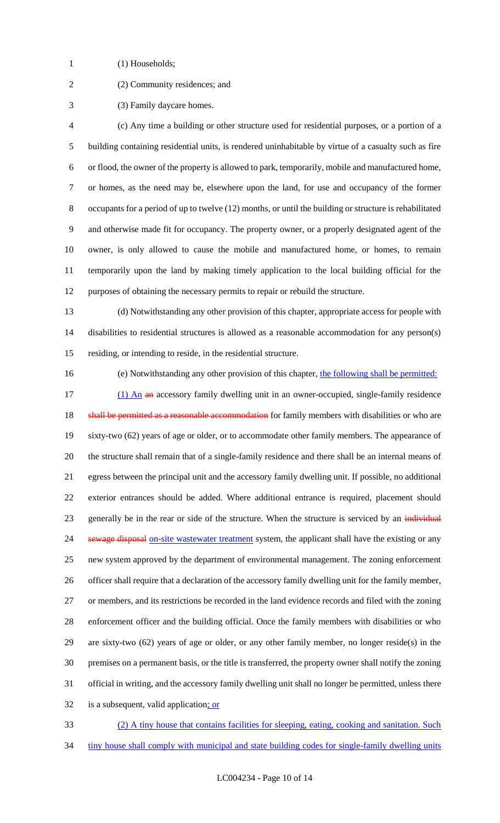- 1 (1) Households;
- 
- (2) Community residences; and
- (3) Family daycare homes.

 (c) Any time a building or other structure used for residential purposes, or a portion of a building containing residential units, is rendered uninhabitable by virtue of a casualty such as fire or flood, the owner of the property is allowed to park, temporarily, mobile and manufactured home, or homes, as the need may be, elsewhere upon the land, for use and occupancy of the former occupants for a period of up to twelve (12) months, or until the building or structure is rehabilitated and otherwise made fit for occupancy. The property owner, or a properly designated agent of the owner, is only allowed to cause the mobile and manufactured home, or homes, to remain temporarily upon the land by making timely application to the local building official for the purposes of obtaining the necessary permits to repair or rebuild the structure.

 (d) Notwithstanding any other provision of this chapter, appropriate access for people with disabilities to residential structures is allowed as a reasonable accommodation for any person(s) residing, or intending to reside, in the residential structure.

(e) Notwithstanding any other provision of this chapter, the following shall be permitted:

17 (1) An an accessory family dwelling unit in an owner-occupied, single-family residence 18 shall be permitted as a reasonable accommodation for family members with disabilities or who are sixty-two (62) years of age or older, or to accommodate other family members. The appearance of the structure shall remain that of a single-family residence and there shall be an internal means of egress between the principal unit and the accessory family dwelling unit. If possible, no additional exterior entrances should be added. Where additional entrance is required, placement should 23 generally be in the rear or side of the structure. When the structure is serviced by an individual 24 sewage disposal on-site wastewater treatment system, the applicant shall have the existing or any new system approved by the department of environmental management. The zoning enforcement officer shall require that a declaration of the accessory family dwelling unit for the family member, or members, and its restrictions be recorded in the land evidence records and filed with the zoning enforcement officer and the building official. Once the family members with disabilities or who are sixty-two (62) years of age or older, or any other family member, no longer reside(s) in the premises on a permanent basis, or the title is transferred, the property owner shall notify the zoning official in writing, and the accessory family dwelling unit shall no longer be permitted, unless there 32 is a subsequent, valid application; or

- (2) A tiny house that contains facilities for sleeping, eating, cooking and sanitation. Such
- 34 tiny house shall comply with municipal and state building codes for single-family dwelling units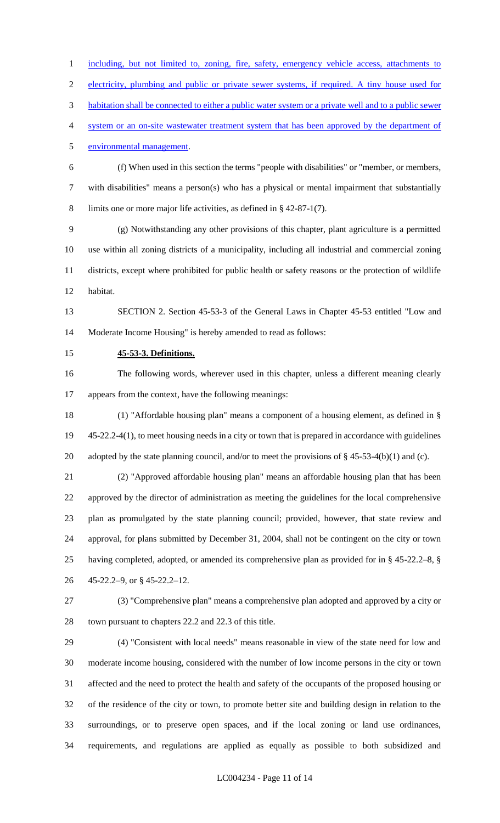1 including, but not limited to, zoning, fire, safety, emergency vehicle access, attachments to

electricity, plumbing and public or private sewer systems, if required. A tiny house used for

habitation shall be connected to either a public water system or a private well and to a public sewer

system or an on-site wastewater treatment system that has been approved by the department of

environmental management.

 (f) When used in this section the terms "people with disabilities" or "member, or members, with disabilities" means a person(s) who has a physical or mental impairment that substantially limits one or more major life activities, as defined in § 42-87-1(7).

 (g) Notwithstanding any other provisions of this chapter, plant agriculture is a permitted use within all zoning districts of a municipality, including all industrial and commercial zoning districts, except where prohibited for public health or safety reasons or the protection of wildlife habitat.

 SECTION 2. Section 45-53-3 of the General Laws in Chapter 45-53 entitled "Low and Moderate Income Housing" is hereby amended to read as follows:

**45-53-3. Definitions.**

 The following words, wherever used in this chapter, unless a different meaning clearly appears from the context, have the following meanings:

 (1) "Affordable housing plan" means a component of a housing element, as defined in § 45-22.2-4(1), to meet housing needs in a city or town that is prepared in accordance with guidelines 20 adopted by the state planning council, and/or to meet the provisions of § 45-53-4(b)(1) and (c).

 (2) "Approved affordable housing plan" means an affordable housing plan that has been approved by the director of administration as meeting the guidelines for the local comprehensive plan as promulgated by the state planning council; provided, however, that state review and approval, for plans submitted by December 31, 2004, shall not be contingent on the city or town having completed, adopted, or amended its comprehensive plan as provided for in § 45-22.2–8, § 45-22.2–9, or § 45-22.2–12.

 (3) "Comprehensive plan" means a comprehensive plan adopted and approved by a city or town pursuant to chapters 22.2 and 22.3 of this title.

 (4) "Consistent with local needs" means reasonable in view of the state need for low and moderate income housing, considered with the number of low income persons in the city or town affected and the need to protect the health and safety of the occupants of the proposed housing or of the residence of the city or town, to promote better site and building design in relation to the surroundings, or to preserve open spaces, and if the local zoning or land use ordinances, requirements, and regulations are applied as equally as possible to both subsidized and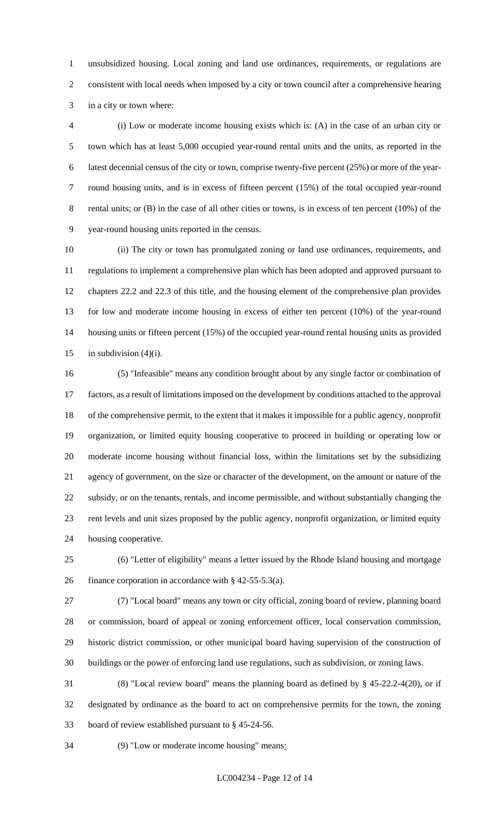unsubsidized housing. Local zoning and land use ordinances, requirements, or regulations are consistent with local needs when imposed by a city or town council after a comprehensive hearing in a city or town where:

 (i) Low or moderate income housing exists which is: (A) in the case of an urban city or town which has at least 5,000 occupied year-round rental units and the units, as reported in the latest decennial census of the city or town, comprise twenty-five percent (25%) or more of the year- round housing units, and is in excess of fifteen percent (15%) of the total occupied year-round rental units; or (B) in the case of all other cities or towns, is in excess of ten percent (10%) of the year-round housing units reported in the census.

 (ii) The city or town has promulgated zoning or land use ordinances, requirements, and regulations to implement a comprehensive plan which has been adopted and approved pursuant to chapters 22.2 and 22.3 of this title, and the housing element of the comprehensive plan provides for low and moderate income housing in excess of either ten percent (10%) of the year-round housing units or fifteen percent (15%) of the occupied year-round rental housing units as provided 15 in subdivision  $(4)(i)$ .

 (5) "Infeasible" means any condition brought about by any single factor or combination of factors, as a result of limitations imposed on the development by conditions attached to the approval of the comprehensive permit, to the extent that it makes it impossible for a public agency, nonprofit organization, or limited equity housing cooperative to proceed in building or operating low or moderate income housing without financial loss, within the limitations set by the subsidizing agency of government, on the size or character of the development, on the amount or nature of the subsidy, or on the tenants, rentals, and income permissible, and without substantially changing the rent levels and unit sizes proposed by the public agency, nonprofit organization, or limited equity housing cooperative.

 (6) "Letter of eligibility" means a letter issued by the Rhode Island housing and mortgage finance corporation in accordance with § 42-55-5.3(a).

 (7) "Local board" means any town or city official, zoning board of review, planning board or commission, board of appeal or zoning enforcement officer, local conservation commission, historic district commission, or other municipal board having supervision of the construction of buildings or the power of enforcing land use regulations, such as subdivision, or zoning laws.

 (8) "Local review board" means the planning board as defined by § 45-22.2-4(20), or if designated by ordinance as the board to act on comprehensive permits for the town, the zoning board of review established pursuant to § 45-24-56.

(9) "Low or moderate income housing" means: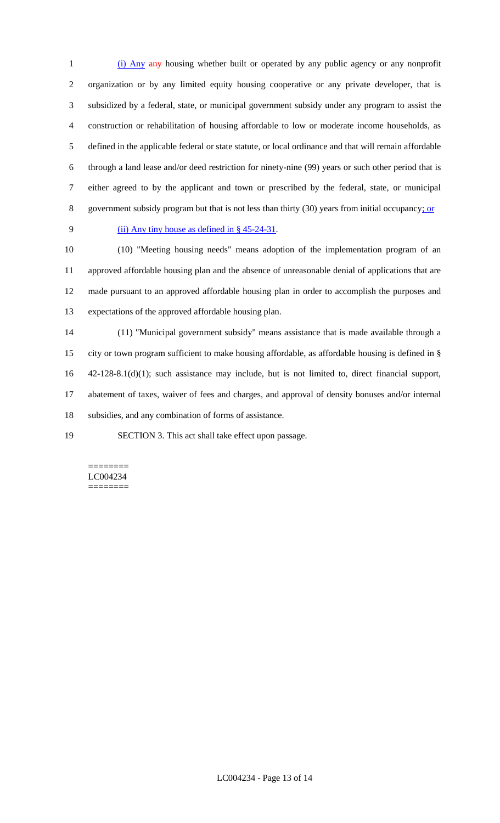1 (i) Any any housing whether built or operated by any public agency or any nonprofit organization or by any limited equity housing cooperative or any private developer, that is subsidized by a federal, state, or municipal government subsidy under any program to assist the construction or rehabilitation of housing affordable to low or moderate income households, as defined in the applicable federal or state statute, or local ordinance and that will remain affordable through a land lease and/or deed restriction for ninety-nine (99) years or such other period that is either agreed to by the applicant and town or prescribed by the federal, state, or municipal government subsidy program but that is not less than thirty (30) years from initial occupancy; or

#### (ii) Any tiny house as defined in § 45-24-31.

 (10) "Meeting housing needs" means adoption of the implementation program of an approved affordable housing plan and the absence of unreasonable denial of applications that are made pursuant to an approved affordable housing plan in order to accomplish the purposes and expectations of the approved affordable housing plan.

 (11) "Municipal government subsidy" means assistance that is made available through a city or town program sufficient to make housing affordable, as affordable housing is defined in § 42-128-8.1(d)(1); such assistance may include, but is not limited to, direct financial support, abatement of taxes, waiver of fees and charges, and approval of density bonuses and/or internal subsidies, and any combination of forms of assistance.

SECTION 3. This act shall take effect upon passage.

======== LC004234 ========